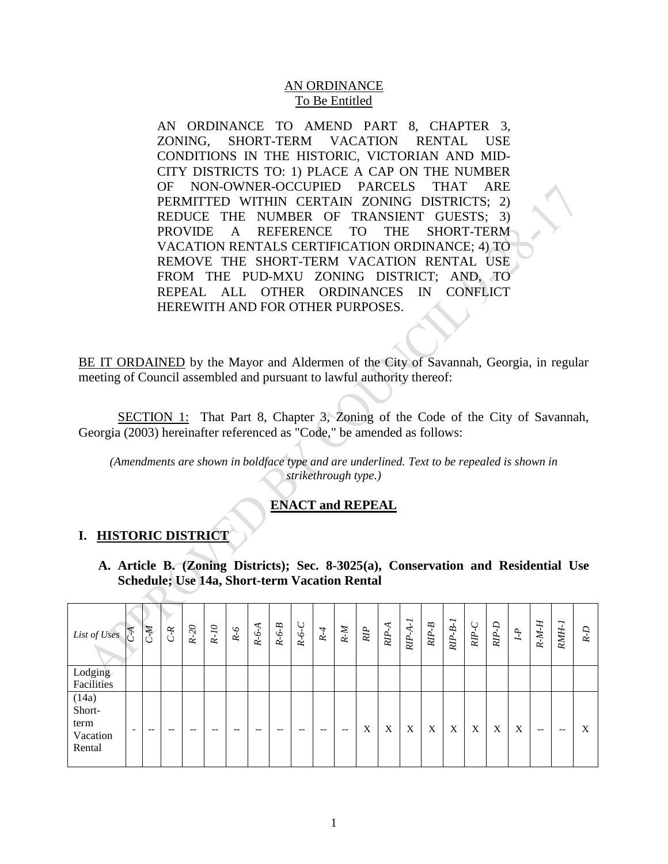### AN ORDINANCE To Be Entitled

AN ORDINANCE TO AMEND PART 8, CHAPTER 3, ZONING, SHORT-TERM VACATION RENTAL USE CONDITIONS IN THE HISTORIC, VICTORIAN AND MID-CITY DISTRICTS TO: 1) PLACE A CAP ON THE NUMBER OF NON-OWNER-OCCUPIED PARCELS THAT ARE PERMITTED WITHIN CERTAIN ZONING DISTRICTS; 2) REDUCE THE NUMBER OF TRANSIENT GUESTS; 3) PROVIDE A REFERENCE TO THE SHORT-TERM VACATION RENTALS CERTIFICATION ORDINANCE; 4) TO REMOVE THE SHORT-TERM VACATION RENTAL USE FROM THE PUD-MXU ZONING DISTRICT; AND, TO REPEAL ALL OTHER ORDINANCES IN CONFLICT HEREWITH AND FOR OTHER PURPOSES.

BE IT ORDAINED by the Mayor and Aldermen of the City of Savannah, Georgia, in regular meeting of Council assembled and pursuant to lawful authority thereof:

SECTION 1: That Part 8, Chapter 3, Zoning of the Code of the City of Savannah, Georgia (2003) hereinafter referenced as "Code," be amended as follows:

*(Amendments are shown in boldface type and are underlined. Text to be repealed is shown in strikethrough type.)*

## **ENACT and REPEAL**

## **I. HISTORIC DISTRICT**

**A. Article B. (Zoning Districts); Sec. 8-3025(a), Conservation and Residential Use Schedule; Use 14a, Short-term Vacation Rental**

| List of Uses                                  | CA                       | <b>K</b> | $C-R$ | $R-20$ | $R-I$ O | $R-6$ | $R-6-A$ | B<br>$R - 6 - 1$ | Ő<br>$R - 6 - 4$ | $R-4$ | $R-M$ | RIP | ≺<br>RIP- | ∽<br>$RIP-A-$ | B<br>RIP- | ∼<br>$RIP-B-$ | C<br>RIP- | $RIP-D$ | $I - P$ | $R-M-H$                                             | ∼<br>RMH- | ₽<br>È |
|-----------------------------------------------|--------------------------|----------|-------|--------|---------|-------|---------|------------------|------------------|-------|-------|-----|-----------|---------------|-----------|---------------|-----------|---------|---------|-----------------------------------------------------|-----------|--------|
| Lodging<br>Facilities                         |                          |          |       |        |         |       |         |                  |                  |       |       |     |           |               |           |               |           |         |         |                                                     |           |        |
| (14a)<br>Short-<br>term<br>Vacation<br>Rental | $\overline{\phantom{0}}$ | --       | $- -$ | $- -$  | $- -$   | --    | $- -$   | $- -$            | $- -$            | --    | $- -$ | X   | X         | X             | X         | X             | X         | X       | X       | $\hspace{0.05cm} -\hspace{0.05cm} -\hspace{0.05cm}$ | $- -$     | X      |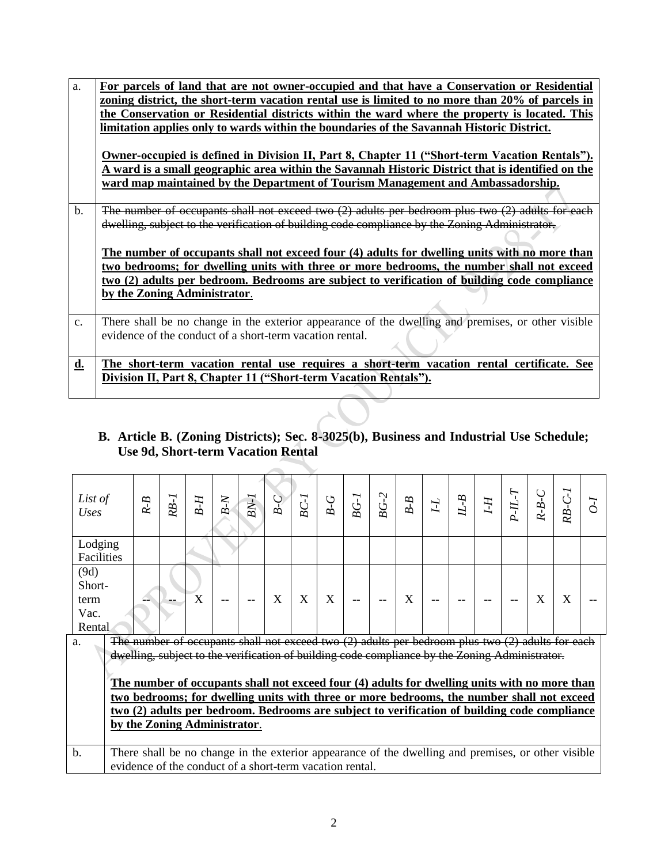| a.             | For parcels of land that are not owner-occupied and that have a Conservation or Residential          |
|----------------|------------------------------------------------------------------------------------------------------|
|                | zoning district, the short-term vacation rental use is limited to no more than 20% of parcels in     |
|                | the Conservation or Residential districts within the ward where the property is located. This        |
|                | limitation applies only to wards within the boundaries of the Savannah Historic District.            |
|                |                                                                                                      |
|                | <b>Owner-occupied is defined in Division II, Part 8, Chapter 11 ("Short-term Vacation Rentals").</b> |
|                | A ward is a small geographic area within the Savannah Historic District that is identified on the    |
|                | ward map maintained by the Department of Tourism Management and Ambassadorship.                      |
|                |                                                                                                      |
| $\mathbf b$ .  | The number of occupants shall not exceed two $(2)$ adults per bedroom plus two $(2)$ adults for each |
|                | dwelling, subject to the verification of building code compliance by the Zoning Administrator.       |
|                |                                                                                                      |
|                | The number of occupants shall not exceed four (4) adults for dwelling units with no more than        |
|                | two bedrooms; for dwelling units with three or more bedrooms, the number shall not exceed            |
|                | two (2) adults per bedroom. Bedrooms are subject to verification of building code compliance         |
|                | by the Zoning Administrator.                                                                         |
|                |                                                                                                      |
| $\mathbf{c}$ . | There shall be no change in the exterior appearance of the dwelling and premises, or other visible   |
|                | evidence of the conduct of a short-term vacation rental.                                             |
|                |                                                                                                      |
| d.             | The short-term vacation rental use requires a short-term vacation rental certificate. See            |
|                |                                                                                                      |
|                | Division II, Part 8, Chapter 11 ("Short-term Vacation Rentals").                                     |
|                |                                                                                                      |

## **B. Article B. (Zoning Districts); Sec. 8-3025(b), Business and Industrial Use Schedule; Use 9d, Short-term Vacation Rental**

| List of<br>Uses | 8<br>بے | -1<br>RB. | ∞              | ξ.<br>∞                                                                                              | $BN-$ | ∞ | B | C<br>∞ | ٠,<br>∞ | $\sim$<br>ВG | B<br>- 1<br>∞ | $\mathbf{I}$ | ∞<br>Z | H-I | ∼ | B<br>بن | RB. |  |
|-----------------|---------|-----------|----------------|------------------------------------------------------------------------------------------------------|-------|---|---|--------|---------|--------------|---------------|--------------|--------|-----|---|---------|-----|--|
| Lodging         |         |           |                |                                                                                                      |       |   |   |        |         |              |               |              |        |     |   |         |     |  |
| Facilities      |         |           |                |                                                                                                      |       |   |   |        |         |              |               |              |        |     |   |         |     |  |
| (9d)            |         |           |                |                                                                                                      |       |   |   |        |         |              |               |              |        |     |   |         |     |  |
| Short-          |         |           |                |                                                                                                      |       |   |   |        |         |              |               |              |        |     |   |         |     |  |
| term            |         |           | v<br>$\Lambda$ | --                                                                                                   |       | v | X | X      |         | --           | X             |              |        |     |   | X       | X   |  |
| Vac.            |         |           |                |                                                                                                      |       |   |   |        |         |              |               |              |        |     |   |         |     |  |
| Rental          |         |           |                |                                                                                                      |       |   |   |        |         |              |               |              |        |     |   |         |     |  |
| a.              |         |           |                | The number of occupants shall not exceed two $(2)$ adults per bedroom plus two $(2)$ adults for each |       |   |   |        |         |              |               |              |        |     |   |         |     |  |
|                 |         |           |                | dwelling, subject to the verification of building code compliance by the Zoning Administrator.       |       |   |   |        |         |              |               |              |        |     |   |         |     |  |

**The number of occupants shall not exceed four (4) adults for dwelling units with no more than two bedrooms; for dwelling units with three or more bedrooms, the number shall not exceed two (2) adults per bedroom. Bedrooms are subject to verification of building code compliance by the Zoning Administrator**.

b. There shall be no change in the exterior appearance of the dwelling and premises, or other visible evidence of the conduct of a short-term vacation rental.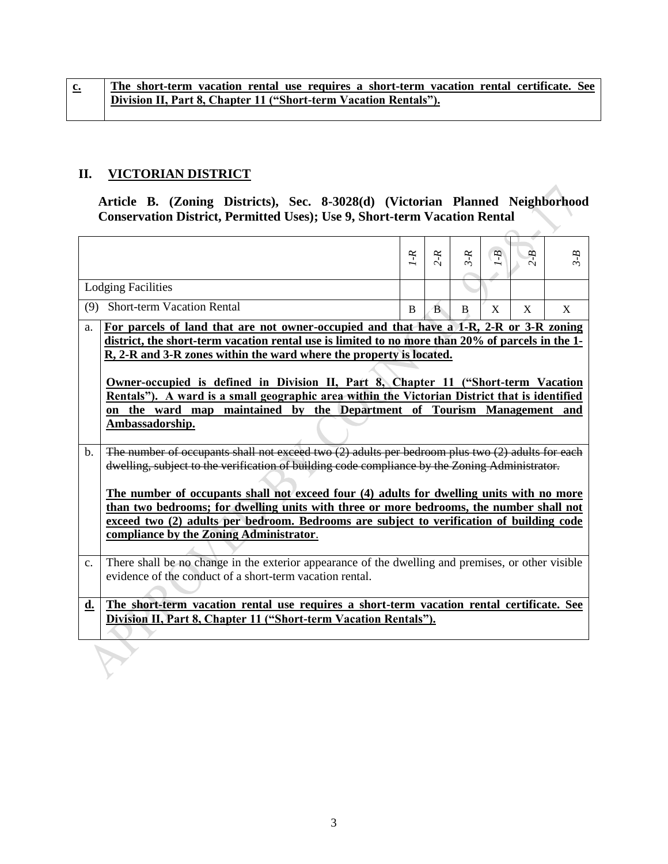## **II. VICTORIAN DISTRICT**

**Article B. (Zoning Districts), Sec. 8-3028(d) (Victorian Planned Neighborhood Conservation District, Permitted Uses); Use 9, Short-term Vacation Rental**

|             |                                                                                                                                                               | $1 - R$ | $2-R$        | $3 - R$ | $g - I$ | æ | $3 - B$ |
|-------------|---------------------------------------------------------------------------------------------------------------------------------------------------------------|---------|--------------|---------|---------|---|---------|
|             | <b>Lodging Facilities</b>                                                                                                                                     |         |              |         |         |   |         |
| (9)         | <b>Short-term Vacation Rental</b>                                                                                                                             | B       | <sub>B</sub> | B       | X       | X | X       |
| a.          | For parcels of land that are not owner-occupied and that have a 1-R, 2-R or 3-R zoning                                                                        |         |              |         |         |   |         |
|             | district, the short-term vacation rental use is limited to no more than 20% of parcels in the 1-                                                              |         |              |         |         |   |         |
|             | R, 2-R and 3-R zones within the ward where the property is located.                                                                                           |         |              |         |         |   |         |
|             |                                                                                                                                                               |         |              |         |         |   |         |
|             | <b>Owner-occupied is defined in Division II, Part 8, Chapter 11 ("Short-term Vacation</b>                                                                     |         |              |         |         |   |         |
|             | Rentals"). A ward is a small geographic area within the Victorian District that is identified                                                                 |         |              |         |         |   |         |
|             | on the ward map maintained by the Department of Tourism Management and                                                                                        |         |              |         |         |   |         |
|             | Ambassadorship.                                                                                                                                               |         |              |         |         |   |         |
| $b_{\cdot}$ | The number of occupants shall not exceed two $\overline{2}$ adults per bedroom plus two $\overline{2}$ adults for each                                        |         |              |         |         |   |         |
|             | dwelling, subject to the verification of building code compliance by the Zoning Administrator.                                                                |         |              |         |         |   |         |
|             |                                                                                                                                                               |         |              |         |         |   |         |
|             | The number of occupants shall not exceed four (4) adults for dwelling units with no more                                                                      |         |              |         |         |   |         |
|             | than two bedrooms; for dwelling units with three or more bedrooms, the number shall not                                                                       |         |              |         |         |   |         |
|             | exceed two (2) adults per bedroom. Bedrooms are subject to verification of building code                                                                      |         |              |         |         |   |         |
|             | compliance by the Zoning Administrator.                                                                                                                       |         |              |         |         |   |         |
|             |                                                                                                                                                               |         |              |         |         |   |         |
| c.          | There shall be no change in the exterior appearance of the dwelling and premises, or other visible                                                            |         |              |         |         |   |         |
|             | evidence of the conduct of a short-term vacation rental.                                                                                                      |         |              |         |         |   |         |
|             |                                                                                                                                                               |         |              |         |         |   |         |
| <u>d.</u>   | The short-term vacation rental use requires a short-term vacation rental certificate. See<br>Division II, Part 8, Chapter 11 ("Short-term Vacation Rentals"). |         |              |         |         |   |         |
|             |                                                                                                                                                               |         |              |         |         |   |         |
|             |                                                                                                                                                               |         |              |         |         |   |         |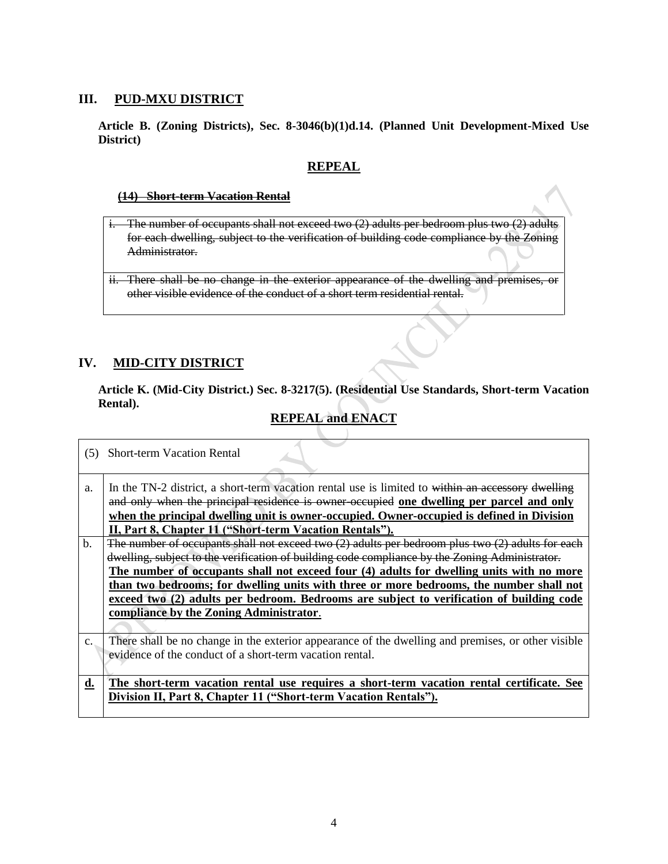#### **III. PUD-MXU DISTRICT**

**Article B. (Zoning Districts), Sec. 8-3046(b)(1)d.14. (Planned Unit Development-Mixed Use District)**

### **REPEAL**

#### **(14) Short-term Vacation Rental**

i. The number of occupants shall not exceed two (2) adults per bedroom plus two (2) adults for each dwelling, subject to the verification of building code compliance by the Zoning Administrator.

## **IV. MID-CITY DISTRICT**

**Article K. (Mid-City District.) Sec. 8-3217(5). (Residential Use Standards, Short-term Vacation Rental).**

# **REPEAL and ENACT**

| (5)           | <b>Short-term Vacation Rental</b>                                                                                                                                                                                                                                                                                                                                                                                                                                                                                                    |
|---------------|--------------------------------------------------------------------------------------------------------------------------------------------------------------------------------------------------------------------------------------------------------------------------------------------------------------------------------------------------------------------------------------------------------------------------------------------------------------------------------------------------------------------------------------|
| a.            | In the TN-2 district, a short-term vacation rental use is limited to within an accessory dwelling<br>and only when the principal residence is owner occupied one dwelling per parcel and only<br>when the principal dwelling unit is owner-occupied. Owner-occupied is defined in Division<br>II, Part 8, Chapter 11 ("Short-term Vacation Rentals").                                                                                                                                                                                |
| $\mathbf b$ . | The number of occupants shall not exceed two $(2)$ adults per bedroom plus two $(2)$ adults for each<br>dwelling, subject to the verification of building code compliance by the Zoning Administrator.<br>The number of occupants shall not exceed four (4) adults for dwelling units with no more<br>than two bedrooms; for dwelling units with three or more bedrooms, the number shall not<br>exceed two (2) adults per bedroom. Bedrooms are subject to verification of building code<br>compliance by the Zoning Administrator. |
| c.            | There shall be no change in the exterior appearance of the dwelling and premises, or other visible<br>evidence of the conduct of a short-term vacation rental.                                                                                                                                                                                                                                                                                                                                                                       |
| $\mathbf{d.}$ | The short-term vacation rental use requires a short-term vacation rental certificate. See<br>Division II, Part 8, Chapter 11 ("Short-term Vacation Rentals").                                                                                                                                                                                                                                                                                                                                                                        |

ii. There shall be no change in the exterior appearance of the dwelling and premises, or other visible evidence of the conduct of a short term residential rental.